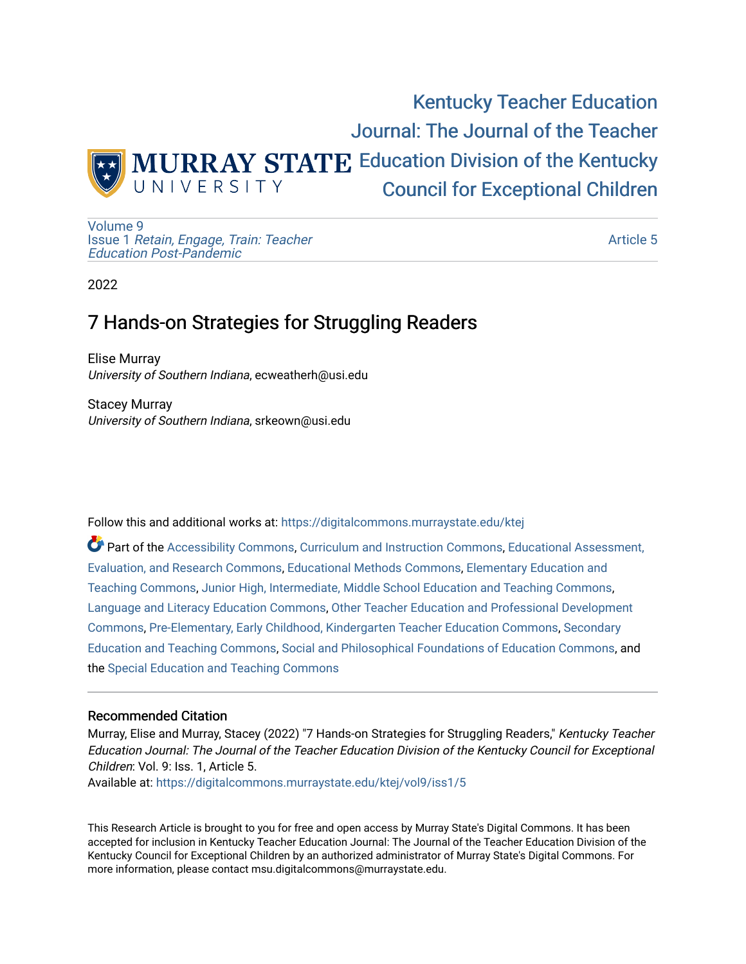

[Volume 9](https://digitalcommons.murraystate.edu/ktej/vol9) Issue 1 [Retain, Engage, Train: Teacher](https://digitalcommons.murraystate.edu/ktej/vol9/iss1)  [Education Post-Pandemic](https://digitalcommons.murraystate.edu/ktej/vol9/iss1) 

[Article 5](https://digitalcommons.murraystate.edu/ktej/vol9/iss1/5) 

2022

# 7 Hands-on Strategies for Struggling Readers

Elise Murray University of Southern Indiana, ecweatherh@usi.edu

Stacey Murray University of Southern Indiana, srkeown@usi.edu

Follow this and additional works at: [https://digitalcommons.murraystate.edu/ktej](https://digitalcommons.murraystate.edu/ktej?utm_source=digitalcommons.murraystate.edu%2Fktej%2Fvol9%2Fiss1%2F5&utm_medium=PDF&utm_campaign=PDFCoverPages) 

Part of the [Accessibility Commons,](https://network.bepress.com/hgg/discipline/1318?utm_source=digitalcommons.murraystate.edu%2Fktej%2Fvol9%2Fiss1%2F5&utm_medium=PDF&utm_campaign=PDFCoverPages) [Curriculum and Instruction Commons,](https://network.bepress.com/hgg/discipline/786?utm_source=digitalcommons.murraystate.edu%2Fktej%2Fvol9%2Fiss1%2F5&utm_medium=PDF&utm_campaign=PDFCoverPages) [Educational Assessment,](https://network.bepress.com/hgg/discipline/796?utm_source=digitalcommons.murraystate.edu%2Fktej%2Fvol9%2Fiss1%2F5&utm_medium=PDF&utm_campaign=PDFCoverPages)  [Evaluation, and Research Commons,](https://network.bepress.com/hgg/discipline/796?utm_source=digitalcommons.murraystate.edu%2Fktej%2Fvol9%2Fiss1%2F5&utm_medium=PDF&utm_campaign=PDFCoverPages) [Educational Methods Commons,](https://network.bepress.com/hgg/discipline/1227?utm_source=digitalcommons.murraystate.edu%2Fktej%2Fvol9%2Fiss1%2F5&utm_medium=PDF&utm_campaign=PDFCoverPages) [Elementary Education and](https://network.bepress.com/hgg/discipline/805?utm_source=digitalcommons.murraystate.edu%2Fktej%2Fvol9%2Fiss1%2F5&utm_medium=PDF&utm_campaign=PDFCoverPages)  [Teaching Commons](https://network.bepress.com/hgg/discipline/805?utm_source=digitalcommons.murraystate.edu%2Fktej%2Fvol9%2Fiss1%2F5&utm_medium=PDF&utm_campaign=PDFCoverPages), [Junior High, Intermediate, Middle School Education and Teaching Commons,](https://network.bepress.com/hgg/discipline/807?utm_source=digitalcommons.murraystate.edu%2Fktej%2Fvol9%2Fiss1%2F5&utm_medium=PDF&utm_campaign=PDFCoverPages) [Language and Literacy Education Commons,](https://network.bepress.com/hgg/discipline/1380?utm_source=digitalcommons.murraystate.edu%2Fktej%2Fvol9%2Fiss1%2F5&utm_medium=PDF&utm_campaign=PDFCoverPages) [Other Teacher Education and Professional Development](https://network.bepress.com/hgg/discipline/810?utm_source=digitalcommons.murraystate.edu%2Fktej%2Fvol9%2Fiss1%2F5&utm_medium=PDF&utm_campaign=PDFCoverPages)  [Commons](https://network.bepress.com/hgg/discipline/810?utm_source=digitalcommons.murraystate.edu%2Fktej%2Fvol9%2Fiss1%2F5&utm_medium=PDF&utm_campaign=PDFCoverPages), [Pre-Elementary, Early Childhood, Kindergarten Teacher Education Commons](https://network.bepress.com/hgg/discipline/808?utm_source=digitalcommons.murraystate.edu%2Fktej%2Fvol9%2Fiss1%2F5&utm_medium=PDF&utm_campaign=PDFCoverPages), [Secondary](https://network.bepress.com/hgg/discipline/809?utm_source=digitalcommons.murraystate.edu%2Fktej%2Fvol9%2Fiss1%2F5&utm_medium=PDF&utm_campaign=PDFCoverPages)  [Education and Teaching Commons,](https://network.bepress.com/hgg/discipline/809?utm_source=digitalcommons.murraystate.edu%2Fktej%2Fvol9%2Fiss1%2F5&utm_medium=PDF&utm_campaign=PDFCoverPages) [Social and Philosophical Foundations of Education Commons,](https://network.bepress.com/hgg/discipline/799?utm_source=digitalcommons.murraystate.edu%2Fktej%2Fvol9%2Fiss1%2F5&utm_medium=PDF&utm_campaign=PDFCoverPages) and the [Special Education and Teaching Commons](https://network.bepress.com/hgg/discipline/801?utm_source=digitalcommons.murraystate.edu%2Fktej%2Fvol9%2Fiss1%2F5&utm_medium=PDF&utm_campaign=PDFCoverPages)

#### Recommended Citation

Murray, Elise and Murray, Stacey (2022) "7 Hands-on Strategies for Struggling Readers," Kentucky Teacher Education Journal: The Journal of the Teacher Education Division of the Kentucky Council for Exceptional Children: Vol. 9: Iss. 1, Article 5. Available at: [https://digitalcommons.murraystate.edu/ktej/vol9/iss1/5](https://digitalcommons.murraystate.edu/ktej/vol9/iss1/5?utm_source=digitalcommons.murraystate.edu%2Fktej%2Fvol9%2Fiss1%2F5&utm_medium=PDF&utm_campaign=PDFCoverPages) 

This Research Article is brought to you for free and open access by Murray State's Digital Commons. It has been accepted for inclusion in Kentucky Teacher Education Journal: The Journal of the Teacher Education Division of the Kentucky Council for Exceptional Children by an authorized administrator of Murray State's Digital Commons. For more information, please contact msu.digitalcommons@murraystate.edu.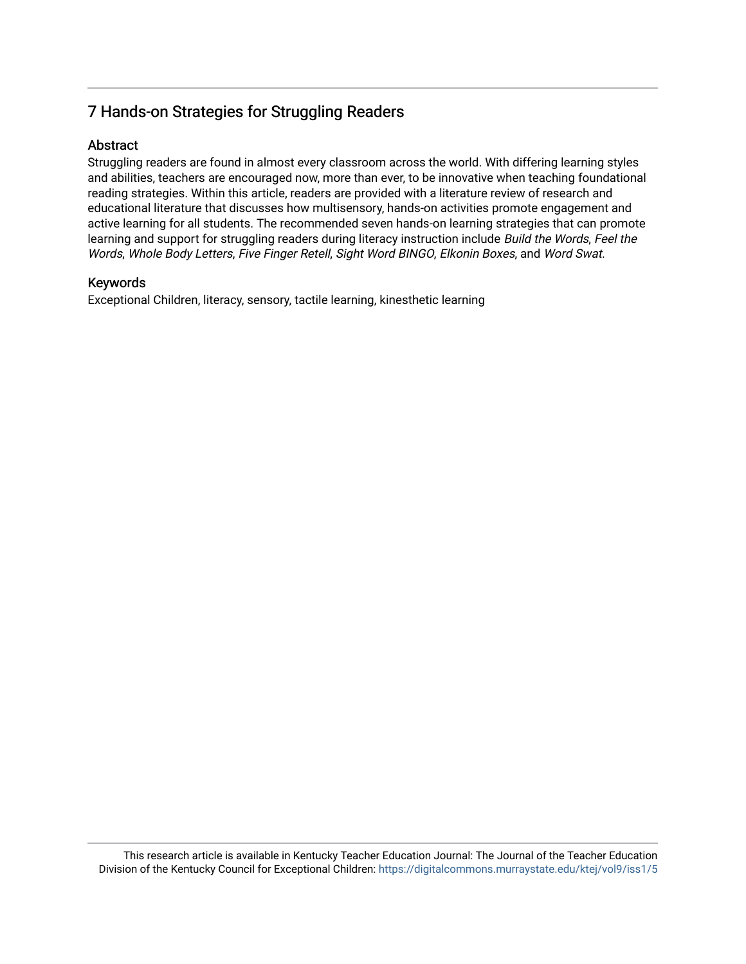# 7 Hands-on Strategies for Struggling Readers

# Abstract

Struggling readers are found in almost every classroom across the world. With differing learning styles and abilities, teachers are encouraged now, more than ever, to be innovative when teaching foundational reading strategies. Within this article, readers are provided with a literature review of research and educational literature that discusses how multisensory, hands-on activities promote engagement and active learning for all students. The recommended seven hands-on learning strategies that can promote learning and support for struggling readers during literacy instruction include Build the Words, Feel the Words, Whole Body Letters, Five Finger Retell, Sight Word BINGO, Elkonin Boxes, and Word Swat.

# Keywords

Exceptional Children, literacy, sensory, tactile learning, kinesthetic learning

This research article is available in Kentucky Teacher Education Journal: The Journal of the Teacher Education Division of the Kentucky Council for Exceptional Children: <https://digitalcommons.murraystate.edu/ktej/vol9/iss1/5>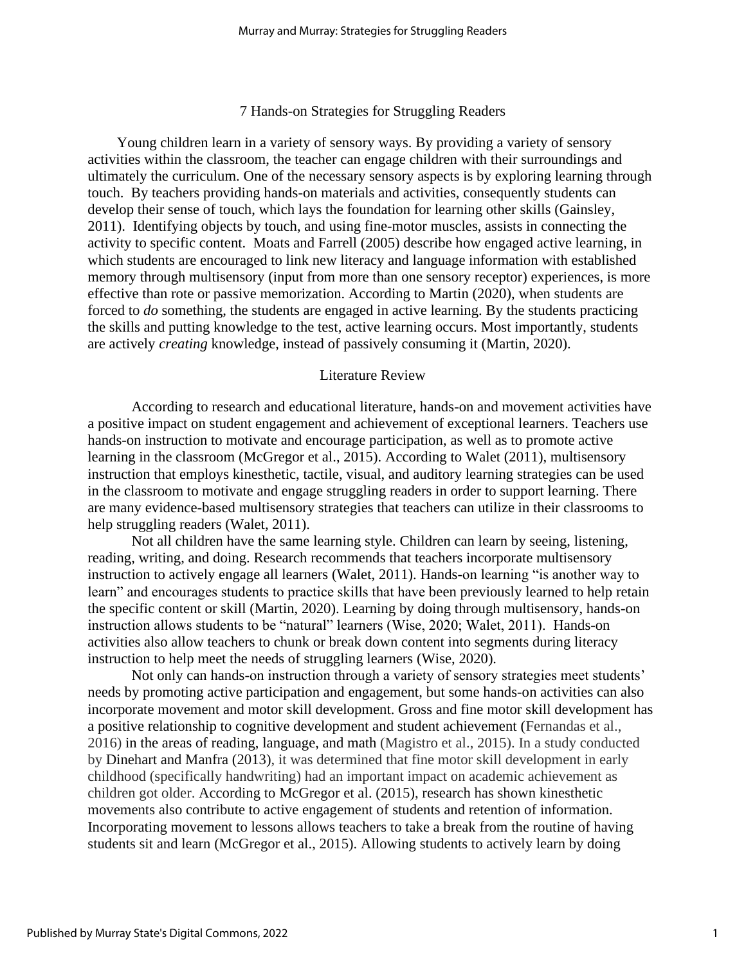#### 7 Hands-on Strategies for Struggling Readers

 Young children learn in a variety of sensory ways. By providing a variety of sensory activities within the classroom, the teacher can engage children with their surroundings and ultimately the curriculum. One of the necessary sensory aspects is by exploring learning through touch. By teachers providing hands-on materials and activities, consequently students can develop their sense of touch, which lays the foundation for learning other skills (Gainsley, 2011). Identifying objects by touch, and using fine-motor muscles, assists in connecting the activity to specific content. Moats and Farrell (2005) describe how engaged active learning, in which students are encouraged to link new literacy and language information with established memory through multisensory (input from more than one sensory receptor) experiences, is more effective than rote or passive memorization. According to Martin (2020), when students are forced to *do* something, the students are engaged in active learning. By the students practicing the skills and putting knowledge to the test, active learning occurs. Most importantly, students are actively *creating* knowledge, instead of passively consuming it (Martin, 2020).

#### Literature Review

According to research and educational literature, hands-on and movement activities have a positive impact on student engagement and achievement of exceptional learners. Teachers use hands-on instruction to motivate and encourage participation, as well as to promote active learning in the classroom (McGregor et al., 2015). According to Walet (2011), multisensory instruction that employs kinesthetic, tactile, visual, and auditory learning strategies can be used in the classroom to motivate and engage struggling readers in order to support learning. There are many evidence-based multisensory strategies that teachers can utilize in their classrooms to help struggling readers (Walet, 2011).

Not all children have the same learning style. Children can learn by seeing, listening, reading, writing, and doing. Research recommends that teachers incorporate multisensory instruction to actively engage all learners (Walet, 2011). Hands-on learning "is another way to learn" and encourages students to practice skills that have been previously learned to help retain the specific content or skill (Martin, 2020). Learning by doing through multisensory, hands-on instruction allows students to be "natural" learners (Wise, 2020; Walet, 2011). Hands-on activities also allow teachers to chunk or break down content into segments during literacy instruction to help meet the needs of struggling learners (Wise, 2020).

Not only can hands-on instruction through a variety of sensory strategies meet students' needs by promoting active participation and engagement, but some hands-on activities can also incorporate movement and motor skill development. Gross and fine motor skill development has a positive relationship to cognitive development and student achievement (Fernandas et al., 2016) in the areas of reading, language, and math (Magistro et al., 2015). In a study conducted by Dinehart and Manfra (2013), it was determined that fine motor skill development in early childhood (specifically handwriting) had an important impact on academic achievement as children got older. According to McGregor et al. (2015), research has shown kinesthetic movements also contribute to active engagement of students and retention of information. Incorporating movement to lessons allows teachers to take a break from the routine of having students sit and learn (McGregor et al., 2015). Allowing students to actively learn by doing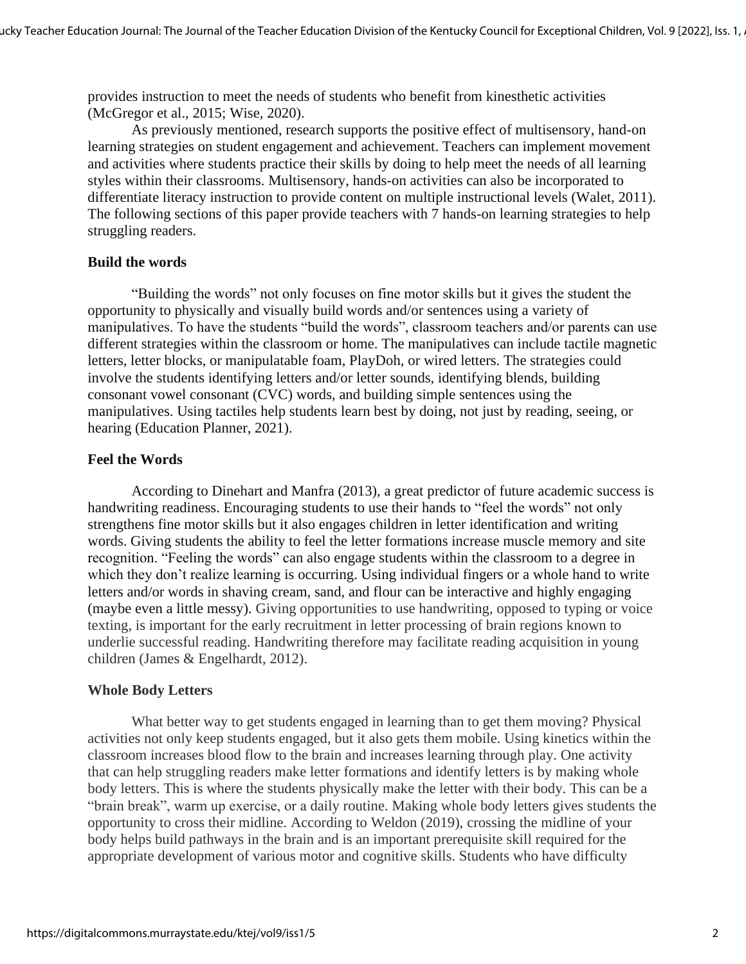provides instruction to meet the needs of students who benefit from kinesthetic activities (McGregor et al., 2015; Wise, 2020).

As previously mentioned, research supports the positive effect of multisensory, hand-on learning strategies on student engagement and achievement. Teachers can implement movement and activities where students practice their skills by doing to help meet the needs of all learning styles within their classrooms. Multisensory, hands-on activities can also be incorporated to differentiate literacy instruction to provide content on multiple instructional levels (Walet, 2011). The following sections of this paper provide teachers with 7 hands-on learning strategies to help struggling readers.

#### **Build the words**

"Building the words" not only focuses on fine motor skills but it gives the student the opportunity to physically and visually build words and/or sentences using a variety of manipulatives. To have the students "build the words", classroom teachers and/or parents can use different strategies within the classroom or home. The manipulatives can include tactile magnetic letters, letter blocks, or manipulatable foam, PlayDoh, or wired letters. The strategies could involve the students identifying letters and/or letter sounds, identifying blends, building consonant vowel consonant (CVC) words, and building simple sentences using the manipulatives. Using tactiles help students learn best by doing, not just by reading, seeing, or hearing (Education Planner, 2021).

# **Feel the Words**

According to Dinehart and Manfra (2013), a great predictor of future academic success is handwriting readiness. Encouraging students to use their hands to "feel the words" not only strengthens fine motor skills but it also engages children in letter identification and writing words. Giving students the ability to feel the letter formations increase muscle memory and site recognition. "Feeling the words" can also engage students within the classroom to a degree in which they don't realize learning is occurring. Using individual fingers or a whole hand to write letters and/or words in shaving cream, sand, and flour can be interactive and highly engaging (maybe even a little messy). Giving opportunities to use handwriting, opposed to typing or voice texting, is important for the early recruitment in letter processing of brain regions known to underlie successful reading. Handwriting therefore may facilitate reading acquisition in young children (James & Engelhardt, 2012).

# **Whole Body Letters**

What better way to get students engaged in learning than to get them moving? Physical activities not only keep students engaged, but it also gets them mobile. Using kinetics within the classroom increases blood flow to the brain and increases learning through play. One activity that can help struggling readers make letter formations and identify letters is by making whole body letters. This is where the students physically make the letter with their body. This can be a "brain break", warm up exercise, or a daily routine. Making whole body letters gives students the opportunity to cross their midline. According to Weldon (2019), crossing the midline of your body helps build pathways in the brain and is an important prerequisite skill required for the appropriate development of various motor and cognitive skills. Students who have difficulty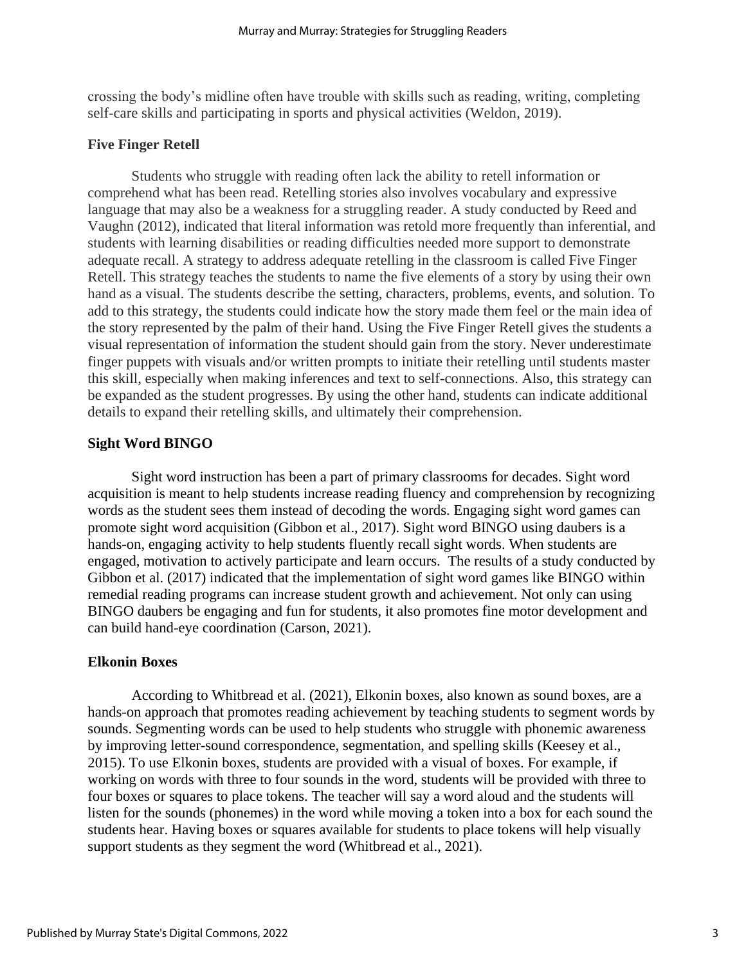crossing the body's midline often have trouble with skills such as reading, writing, completing self-care skills and participating in sports and physical activities (Weldon, 2019).

### **Five Finger Retell**

Students who struggle with reading often lack the ability to retell information or comprehend what has been read. Retelling stories also involves vocabulary and expressive language that may also be a weakness for a struggling reader. A study conducted by Reed and Vaughn (2012), indicated that literal information was retold more frequently than inferential, and students with learning disabilities or reading difficulties needed more support to demonstrate adequate recall. A strategy to address adequate retelling in the classroom is called Five Finger Retell. This strategy teaches the students to name the five elements of a story by using their own hand as a visual. The students describe the setting, characters, problems, events, and solution. To add to this strategy, the students could indicate how the story made them feel or the main idea of the story represented by the palm of their hand. Using the Five Finger Retell gives the students a visual representation of information the student should gain from the story. Never underestimate finger puppets with visuals and/or written prompts to initiate their retelling until students master this skill, especially when making inferences and text to self-connections. Also, this strategy can be expanded as the student progresses. By using the other hand, students can indicate additional details to expand their retelling skills, and ultimately their comprehension.

# **Sight Word BINGO**

Sight word instruction has been a part of primary classrooms for decades. Sight word acquisition is meant to help students increase reading fluency and comprehension by recognizing words as the student sees them instead of decoding the words. Engaging sight word games can promote sight word acquisition (Gibbon et al., 2017). Sight word BINGO using daubers is a hands-on, engaging activity to help students fluently recall sight words. When students are engaged, motivation to actively participate and learn occurs. The results of a study conducted by Gibbon et al. (2017) indicated that the implementation of sight word games like BINGO within remedial reading programs can increase student growth and achievement. Not only can using BINGO daubers be engaging and fun for students, it also promotes fine motor development and can build hand-eye coordination (Carson, 2021).

# **Elkonin Boxes**

According to Whitbread et al. (2021), Elkonin boxes, also known as sound boxes, are a hands-on approach that promotes reading achievement by teaching students to segment words by sounds. Segmenting words can be used to help students who struggle with phonemic awareness by improving letter-sound correspondence, segmentation, and spelling skills (Keesey et al., 2015). To use Elkonin boxes, students are provided with a visual of boxes. For example, if working on words with three to four sounds in the word, students will be provided with three to four boxes or squares to place tokens. The teacher will say a word aloud and the students will listen for the sounds (phonemes) in the word while moving a token into a box for each sound the students hear. Having boxes or squares available for students to place tokens will help visually support students as they segment the word (Whitbread et al., 2021).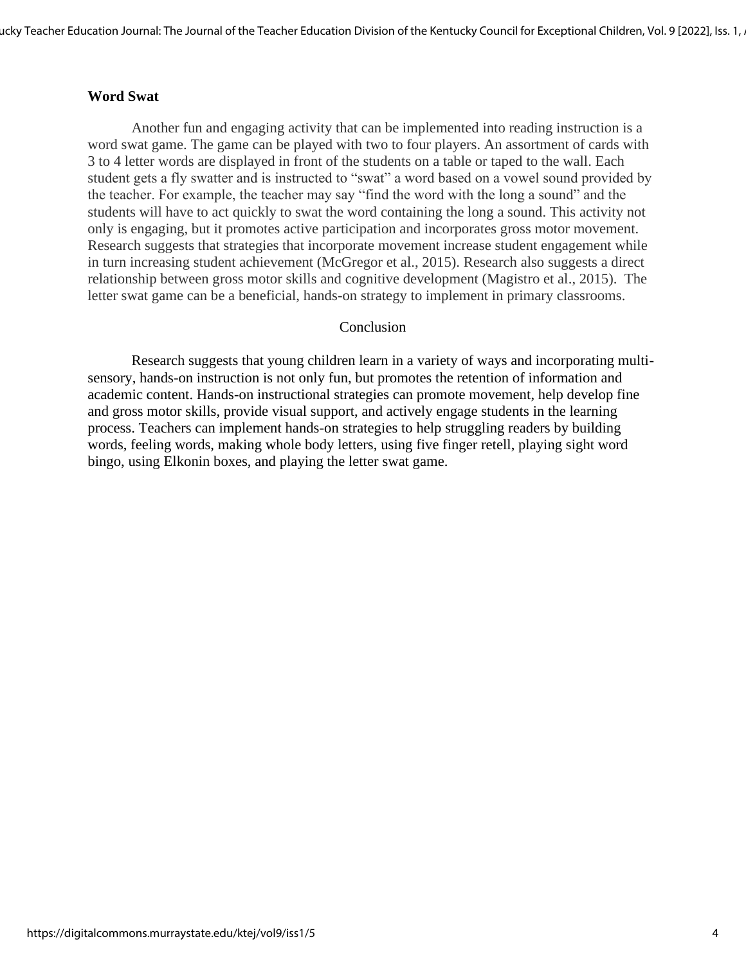#### **Word Swat**

Another fun and engaging activity that can be implemented into reading instruction is a word swat game. The game can be played with two to four players. An assortment of cards with 3 to 4 letter words are displayed in front of the students on a table or taped to the wall. Each student gets a fly swatter and is instructed to "swat" a word based on a vowel sound provided by the teacher. For example, the teacher may say "find the word with the long a sound" and the students will have to act quickly to swat the word containing the long a sound. This activity not only is engaging, but it promotes active participation and incorporates gross motor movement. Research suggests that strategies that incorporate movement increase student engagement while in turn increasing student achievement (McGregor et al., 2015). Research also suggests a direct relationship between gross motor skills and cognitive development (Magistro et al., 2015). The letter swat game can be a beneficial, hands-on strategy to implement in primary classrooms.

#### Conclusion

Research suggests that young children learn in a variety of ways and incorporating multisensory, hands-on instruction is not only fun, but promotes the retention of information and academic content. Hands-on instructional strategies can promote movement, help develop fine and gross motor skills, provide visual support, and actively engage students in the learning process. Teachers can implement hands-on strategies to help struggling readers by building words, feeling words, making whole body letters, using five finger retell, playing sight word bingo, using Elkonin boxes, and playing the letter swat game.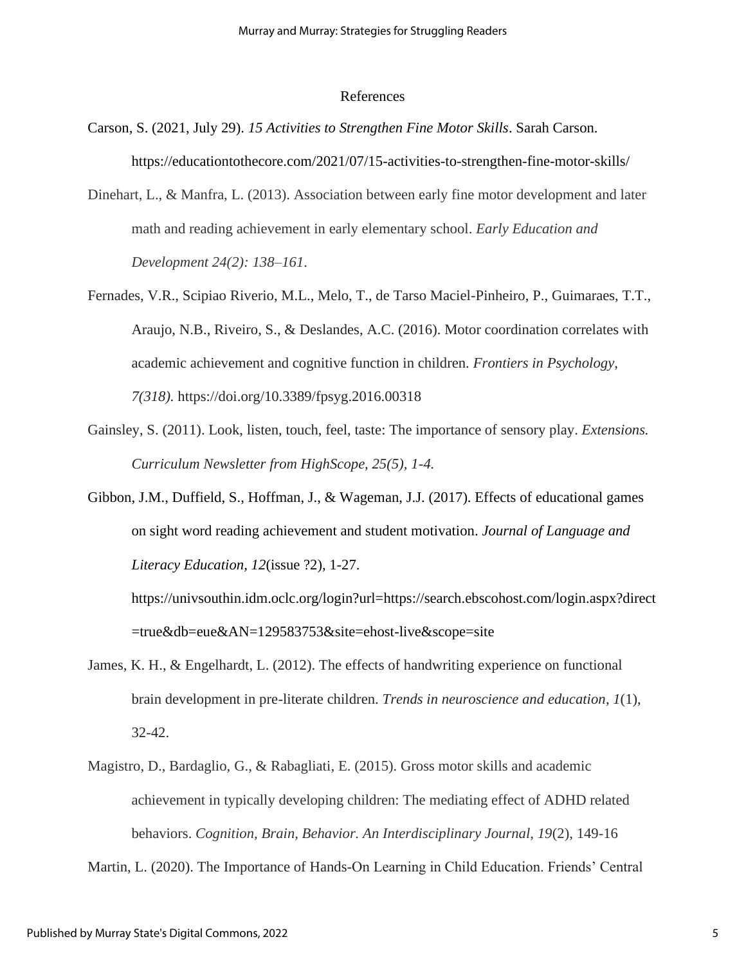#### References

- Carson, S. (2021, July 29). *15 Activities to Strengthen Fine Motor Skills*. Sarah Carson. https://educationtothecore.com/2021/07/15-activities-to-strengthen-fine-motor-skills/
- Dinehart, L., & Manfra, L. (2013). Association between early fine motor development and later math and reading achievement in early elementary school. *Early Education and Development 24(2): 138–161*.
- Fernades, V.R., Scipiao Riverio, M.L., Melo, T., de Tarso Maciel-Pinheiro, P., Guimaraes, T.T., Araujo, N.B., Riveiro, S., & Deslandes, A.C. (2016). Motor coordination correlates with academic achievement and cognitive function in children. *Frontiers in Psychology*, *7(318).* https://doi.org/10.3389/fpsyg.2016.00318
- Gainsley, S. (2011). Look, listen, touch, feel, taste: The importance of sensory play. *Extensions. Curriculum Newsletter from HighScope, 25(5), 1-4.*
- Gibbon, J.M., Duffield, S., Hoffman, J., & Wageman, J.J. (2017). Effects of educational games on sight word reading achievement and student motivation. *Journal of Language and Literacy Education, 12*(issue ?2), 1-27.

https://univsouthin.idm.oclc.org/login?url=https://search.ebscohost.com/login.aspx?direct =true&db=eue&AN=129583753&site=ehost-live&scope=site

- James, K. H., & Engelhardt, L. (2012). The effects of handwriting experience on functional brain development in pre-literate children. *Trends in neuroscience and education*, *1*(1), 32-42.
- Magistro, D., Bardaglio, G., & Rabagliati, E. (2015). Gross motor skills and academic achievement in typically developing children: The mediating effect of ADHD related behaviors. *Cognition, Brain, Behavior. An Interdisciplinary Journal, 19*(2), 149-16

Martin, L. (2020). The Importance of Hands-On Learning in Child Education. Friends' Central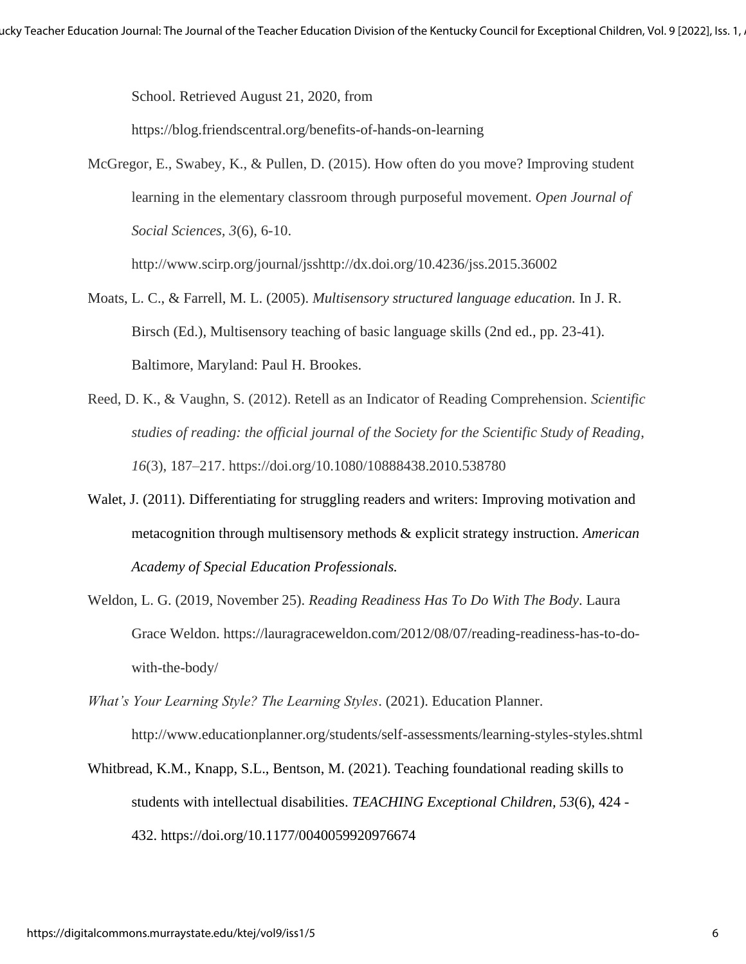School. Retrieved August 21, 2020, from

https://blog.friendscentral.org/benefits-of-hands-on-learning

McGregor, E., Swabey, K., & Pullen, D. (2015). How often do you move? Improving student learning in the elementary classroom through purposeful movement. *Open Journal of Social Sciences, 3*(6), 6-10.

http://www.scirp.org/journal/jsshttp://dx.doi.org/10.4236/jss.2015.36002

- Moats, L. C., & Farrell, M. L. (2005). *Multisensory structured language education.* In J. R. Birsch (Ed.), Multisensory teaching of basic language skills (2nd ed., pp. 23-41). Baltimore, Maryland: Paul H. Brookes.
- Reed, D. K., & Vaughn, S. (2012). Retell as an Indicator of Reading Comprehension. *Scientific studies of reading: the official journal of the Society for the Scientific Study of Reading*, *16*(3), 187–217. https://doi.org/10.1080/10888438.2010.538780
- Walet, J. (2011). Differentiating for struggling readers and writers: Improving motivation and metacognition through multisensory methods & explicit strategy instruction. *American Academy of Special Education Professionals.*
- Weldon, L. G. (2019, November 25). *Reading Readiness Has To Do With The Body*. Laura Grace Weldon. https://lauragraceweldon.com/2012/08/07/reading-readiness-has-to-dowith-the-body/
- *What's Your Learning Style? The Learning Styles*. (2021). Education Planner. http://www.educationplanner.org/students/self-assessments/learning-styles-styles.shtml
- Whitbread, K.M., Knapp, S.L., Bentson, M. (2021). Teaching foundational reading skills to students with intellectual disabilities. *TEACHING Exceptional Children, 53*(6), 424 - 432. https://doi.org/10.1177/0040059920976674